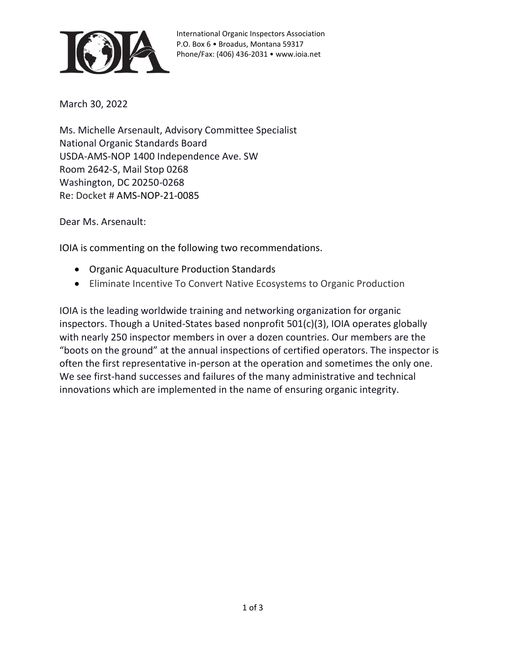

International Organic Inspectors Association P.O. Box 6 • Broadus, Montana 59317 Phone/Fax: (406) 436-2031 • www.ioia.net

March 30, 2022

Ms. Michelle Arsenault, Advisory Committee Specialist National Organic Standards Board USDA-AMS-NOP 1400 Independence Ave. SW Room 2642-S, Mail Stop 0268 Washington, DC 20250-0268 Re: Docket # AMS-NOP-21-0085

Dear Ms. Arsenault:

IOIA is commenting on the following two recommendations.

- Organic Aquaculture Production Standards
- Eliminate Incentive To Convert Native Ecosystems to Organic Production

IOIA is the leading worldwide training and networking organization for organic inspectors. Though a United-States based nonprofit 501(c)(3), IOIA operates globally with nearly 250 inspector members in over a dozen countries. Our members are the "boots on the ground" at the annual inspections of certified operators. The inspector is often the first representative in-person at the operation and sometimes the only one. We see first-hand successes and failures of the many administrative and technical innovations which are implemented in the name of ensuring organic integrity.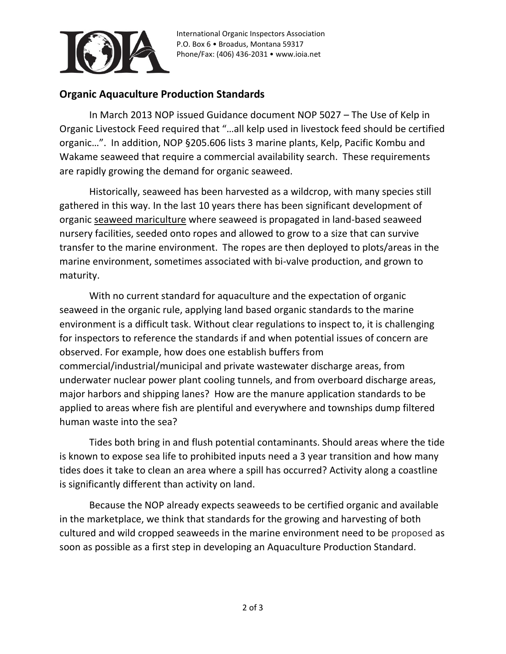

International Organic Inspectors Association P.O. Box 6 • Broadus, Montana 59317 Phone/Fax: (406) 436-2031 • www.ioia.net

## **Organic Aquaculture Production Standards**

In March 2013 NOP issued Guidance document NOP 5027 – The Use of Kelp in Organic Livestock Feed required that "…all kelp used in livestock feed should be certified organic…". In addition, NOP §205.606 lists 3 marine plants, Kelp, Pacific Kombu and Wakame seaweed that require a commercial availability search. These requirements are rapidly growing the demand for organic seaweed.

Historically, seaweed has been harvested as a wildcrop, with many species still gathered in this way. In the last 10 years there has been significant development of organic seaweed mariculture where seaweed is propagated in land-based seaweed nursery facilities, seeded onto ropes and allowed to grow to a size that can survive transfer to the marine environment. The ropes are then deployed to plots/areas in the marine environment, sometimes associated with bi-valve production, and grown to maturity.

With no current standard for aquaculture and the expectation of organic seaweed in the organic rule, applying land based organic standards to the marine environment is a difficult task. Without clear regulations to inspect to, it is challenging for inspectors to reference the standards if and when potential issues of concern are observed. For example, how does one establish buffers from commercial/industrial/municipal and private wastewater discharge areas, from underwater nuclear power plant cooling tunnels, and from overboard discharge areas, major harbors and shipping lanes? How are the manure application standards to be applied to areas where fish are plentiful and everywhere and townships dump filtered human waste into the sea?

Tides both bring in and flush potential contaminants. Should areas where the tide is known to expose sea life to prohibited inputs need a 3 year transition and how many tides does it take to clean an area where a spill has occurred? Activity along a coastline is significantly different than activity on land.

Because the NOP already expects seaweeds to be certified organic and available in the marketplace, we think that standards for the growing and harvesting of both cultured and wild cropped seaweeds in the marine environment need to be proposed as soon as possible as a first step in developing an Aquaculture Production Standard.